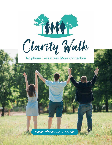

Clarity Walk

No phone, Less stress, More connection

*www.claritywalk.co.uk*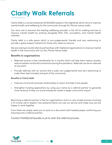# **Clarity Walk Referrals**

Clarity Walk is a social enterprise (SC640285) based in the Highlands which aims to improve mental health and wellbeing for the community through No-Phone nature walks.

Our aims are to become the leading wellbeing provider in the UK for walking services to improve mental health by working alongside NHS, GPs, counsellors, and mental health charities.

Clarity Walk is a safe space which is non-judgemental, friendly and very welcoming to provide a great support network for those who need our service.

We are looking to build referral partnerships with Highland organisations to improve mental health in the community with our No-Phone nature walks

### Benefits to organisations

- Referrals receive a free membership for 4 months which will help them reduce anxiety, reduce isolation and build connections during this pandemic. Referrals can be re-referred at any point.
- Provide referrals with an activity that is safe, non-judgemental and very welcoming to make them feel included and part of the community

#### Benefits to Clarity Walk

- Improve community business relationships to reach and help more people
- Strengthen funding applications by using your name as a referral partner to generate more revenue to help our social enterprise create a larger community impact

Becoming a referral partner is free for organisations and is a very simple process involving a 15 minute call to explain how patients/clients can use our service and make sure we are happy to work together.

From there we simply need you to send us a document with headed paper confirming you have become a referral partner.

Contact Matt@claritywalk.co.uk to start the referral process

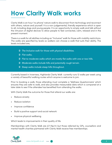# **How Clarity Walk works**

Clarity Walk is an hour 'no phone' nature walk to disconnect from technology and reconnect with others, nature and yourself. It is a non-judgemental, friendly experience which is open to all, including dogs and young people. It is an opportunity to simply walk and talk without the intrusion of digital devices to allow people to feel connected, calm, relaxed and in the present moment.

There is a walk for all abilities including an "Inclusive" walk for those with mobility restrictions. The walks are specified by levels so walkers can choose a walk that suits their ability. The levels included are;

- $\supset$  The Inclusive walk for those with physical disabilities.
- Â *Flat walks.*
- $\supset$  Flat to moderate walks which are mostly flat walks with one or two hills.
- Â *Moderate walks include hills and potentially rough terrain.*
- Â *Steep walks include steep hills throughout.*

Currently based in Inverness, Highlands Clarity Walk currently runs 12 walks per week using a variety of beautiful walking routes which anyone is welcome to join.

Prior to booking a walk, those attending must complete a 'Wellness Questionnaire' which ensures they are safe to walk, and also provides measurable data which is compared at a later date to see if the attendee has benefited from attending the walks.

With Clarity Walk the outcome for those that attend our walks are:

- Reduce anxiety
- Reduce isolation
- Improve confidence
- Build a positive support and social network
- Improve physical wellbeing

Which leads to improvements in their quality of life.

Memberships with Clarity Walk are £7-15p/m but those referred by GPs, counsellors and mental health charities partnered with Clarity Walk receive free memberships.